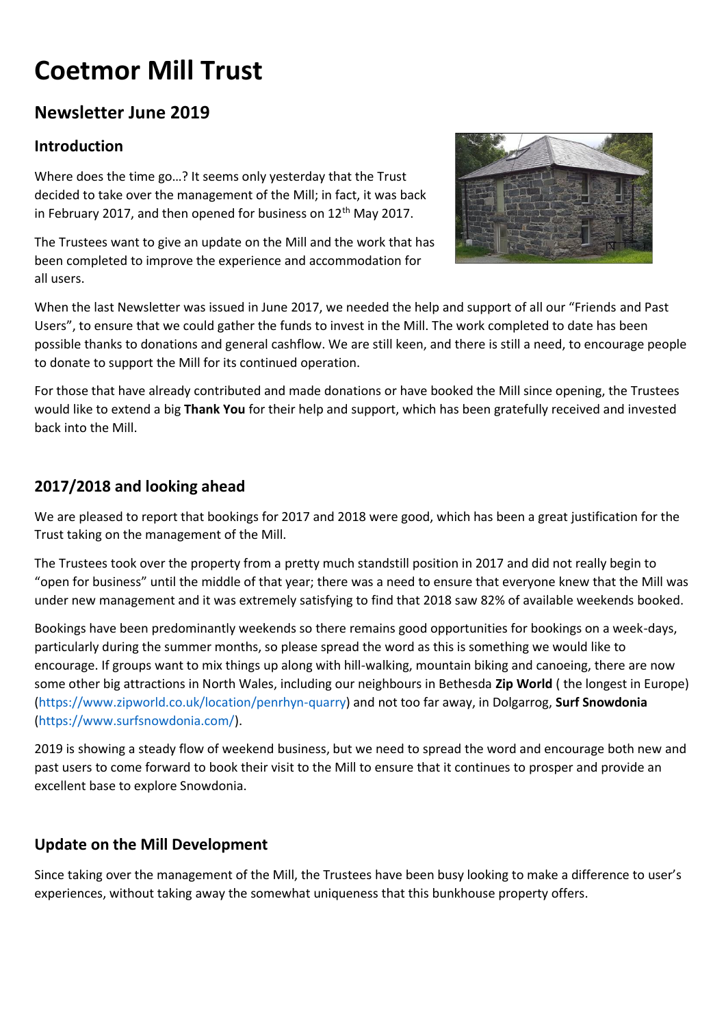# **Coetmor Mill Trust**

# **Newsletter June 2019**

# **Introduction**

Where does the time go…? It seems only yesterday that the Trust decided to take over the management of the Mill; in fact, it was back in February 2017, and then opened for business on  $12<sup>th</sup>$  May 2017.

The Trustees want to give an update on the Mill and the work that has been completed to improve the experience and accommodation for all users.



When the last Newsletter was issued in June 2017, we needed the help and support of all our "Friends and Past Users", to ensure that we could gather the funds to invest in the Mill. The work completed to date has been possible thanks to donations and general cashflow. We are still keen, and there is still a need, to encourage people to donate to support the Mill for its continued operation.

For those that have already contributed and made donations or have booked the Mill since opening, the Trustees would like to extend a big **Thank You** for their help and support, which has been gratefully received and invested back into the Mill.

# **2017/2018 and looking ahead**

We are pleased to report that bookings for 2017 and 2018 were good, which has been a great justification for the Trust taking on the management of the Mill.

The Trustees took over the property from a pretty much standstill position in 2017 and did not really begin to "open for business" until the middle of that year; there was a need to ensure that everyone knew that the Mill was under new management and it was extremely satisfying to find that 2018 saw 82% of available weekends booked.

Bookings have been predominantly weekends so there remains good opportunities for bookings on a week-days, particularly during the summer months, so please spread the word as this is something we would like to encourage. If groups want to mix things up along with hill-walking, mountain biking and canoeing, there are now some other big attractions in North Wales, including our neighbours in Bethesda **Zip World** ( the longest in Europe) [\(https://www.zipworld.co.uk/location/penrhyn-quarry\)](https://www.zipworld.co.uk/location/penrhyn-quarry) and not too far away, in Dolgarrog, **Surf Snowdonia** [\(https://www.surfsnowdonia.com/\)](https://www.surfsnowdonia.com/).

2019 is showing a steady flow of weekend business, but we need to spread the word and encourage both new and past users to come forward to book their visit to the Mill to ensure that it continues to prosper and provide an excellent base to explore Snowdonia.

## **Update on the Mill Development**

Since taking over the management of the Mill, the Trustees have been busy looking to make a difference to user's experiences, without taking away the somewhat uniqueness that this bunkhouse property offers.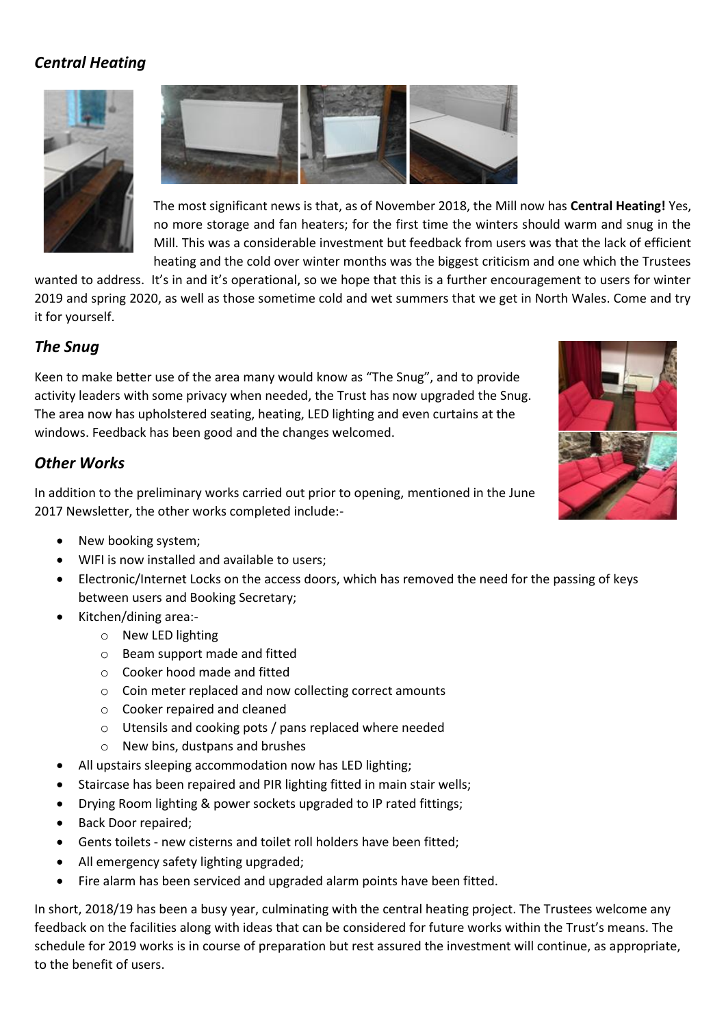# *Central Heating*





The most significant news is that, as of November 2018, the Mill now has **Central Heating!** Yes, no more storage and fan heaters; for the first time the winters should warm and snug in the Mill. This was a considerable investment but feedback from users was that the lack of efficient heating and the cold over winter months was the biggest criticism and one which the Trustees

wanted to address. It's in and it's operational, so we hope that this is a further encouragement to users for winter 2019 and spring 2020, as well as those sometime cold and wet summers that we get in North Wales. Come and try it for yourself.

#### *The Snug*

Keen to make better use of the area many would know as "The Snug", and to provide activity leaders with some privacy when needed, the Trust has now upgraded the Snug. The area now has upholstered seating, heating, LED lighting and even curtains at the windows. Feedback has been good and the changes welcomed.

#### *Other Works*

In addition to the preliminary works carried out prior to opening, mentioned in the June 2017 Newsletter, the other works completed include:-

- 
- New booking system;
- WIFI is now installed and available to users;
- Electronic/Internet Locks on the access doors, which has removed the need for the passing of keys between users and Booking Secretary;
- Kitchen/dining area:
	- o New LED lighting
	- o Beam support made and fitted
	- o Cooker hood made and fitted
	- o Coin meter replaced and now collecting correct amounts
	- o Cooker repaired and cleaned
	- o Utensils and cooking pots / pans replaced where needed
	- o New bins, dustpans and brushes
- All upstairs sleeping accommodation now has LED lighting;
- Staircase has been repaired and PIR lighting fitted in main stair wells;
- Drying Room lighting & power sockets upgraded to IP rated fittings;
- Back Door repaired;
- Gents toilets new cisterns and toilet roll holders have been fitted;
- All emergency safety lighting upgraded;
- Fire alarm has been serviced and upgraded alarm points have been fitted.

In short, 2018/19 has been a busy year, culminating with the central heating project. The Trustees welcome any feedback on the facilities along with ideas that can be considered for future works within the Trust's means. The schedule for 2019 works is in course of preparation but rest assured the investment will continue, as appropriate, to the benefit of users.